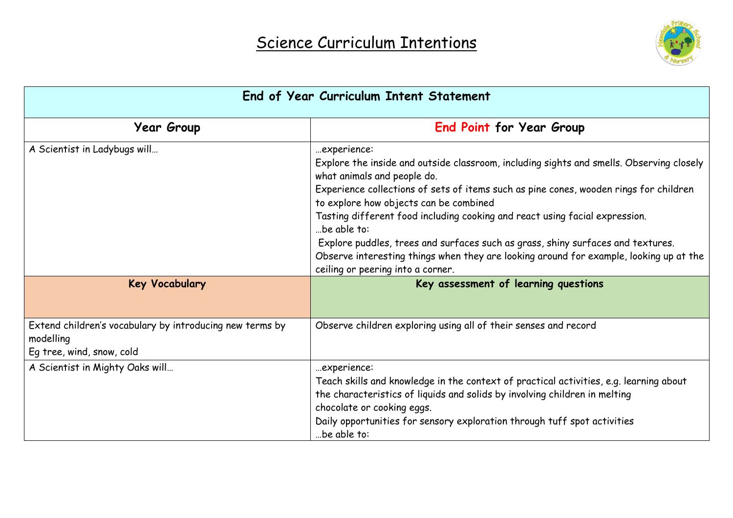

| End of Year Curriculum Intent Statement                                                            |                                                                                                                                                                                                                                                                                                                                                                                                                                                                                                                                                                                           |  |
|----------------------------------------------------------------------------------------------------|-------------------------------------------------------------------------------------------------------------------------------------------------------------------------------------------------------------------------------------------------------------------------------------------------------------------------------------------------------------------------------------------------------------------------------------------------------------------------------------------------------------------------------------------------------------------------------------------|--|
| <b>Year Group</b>                                                                                  | <b>End Point for Year Group</b>                                                                                                                                                                                                                                                                                                                                                                                                                                                                                                                                                           |  |
| A Scientist in Ladybugs will                                                                       | experience:<br>Explore the inside and outside classroom, including sights and smells. Observing closely<br>what animals and people do.<br>Experience collections of sets of items such as pine cones, wooden rings for children<br>to explore how objects can be combined<br>Tasting different food including cooking and react using facial expression.<br>be able to:<br>Explore puddles, trees and surfaces such as grass, shiny surfaces and textures.<br>Observe interesting things when they are looking around for example, looking up at the<br>ceiling or peering into a corner. |  |
| <b>Key Vocabulary</b>                                                                              | Key assessment of learning questions                                                                                                                                                                                                                                                                                                                                                                                                                                                                                                                                                      |  |
| Extend children's vocabulary by introducing new terms by<br>modelling<br>Eg tree, wind, snow, cold | Observe children exploring using all of their senses and record                                                                                                                                                                                                                                                                                                                                                                                                                                                                                                                           |  |
| A Scientist in Mighty Oaks will                                                                    | experience:<br>Teach skills and knowledge in the context of practical activities, e.g. learning about<br>the characteristics of liquids and solids by involving children in melting<br>chocolate or cooking eggs.<br>Daily opportunities for sensory exploration through tuff spot activities<br>be able to:                                                                                                                                                                                                                                                                              |  |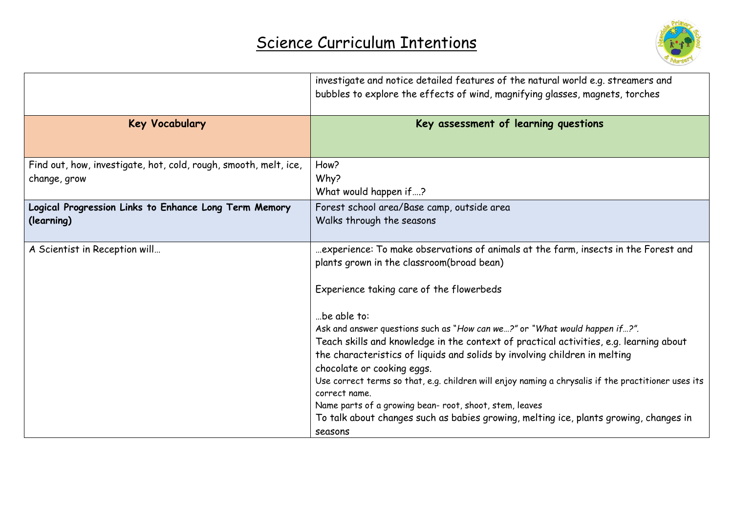

|                                                                  | investigate and notice detailed features of the natural world e.g. streamers and<br>bubbles to explore the effects of wind, magnifying glasses, magnets, torches |
|------------------------------------------------------------------|------------------------------------------------------------------------------------------------------------------------------------------------------------------|
| <b>Key Vocabulary</b>                                            | Key assessment of learning questions                                                                                                                             |
| Find out, how, investigate, hot, cold, rough, smooth, melt, ice, | How?                                                                                                                                                             |
| change, grow                                                     | Why?                                                                                                                                                             |
|                                                                  | What would happen if?                                                                                                                                            |
| Logical Progression Links to Enhance Long Term Memory            | Forest school area/Base camp, outside area                                                                                                                       |
| (learning)                                                       | Walks through the seasons                                                                                                                                        |
| A Scientist in Reception will                                    | experience: To make observations of animals at the farm, insects in the Forest and                                                                               |
|                                                                  | plants grown in the classroom(broad bean)                                                                                                                        |
|                                                                  | Experience taking care of the flowerbeds                                                                                                                         |
|                                                                  | be able to:                                                                                                                                                      |
|                                                                  | Ask and answer questions such as "How can we?" or "What would happen if?".                                                                                       |
|                                                                  | Teach skills and knowledge in the context of practical activities, e.g. learning about                                                                           |
|                                                                  | the characteristics of liquids and solids by involving children in melting                                                                                       |
|                                                                  | chocolate or cooking eggs.                                                                                                                                       |
|                                                                  | Use correct terms so that, e.g. children will enjoy naming a chrysalis if the practitioner uses its<br>correct name.                                             |
|                                                                  | Name parts of a growing bean-root, shoot, stem, leaves                                                                                                           |
|                                                                  | To talk about changes such as babies growing, melting ice, plants growing, changes in                                                                            |
|                                                                  | seasons                                                                                                                                                          |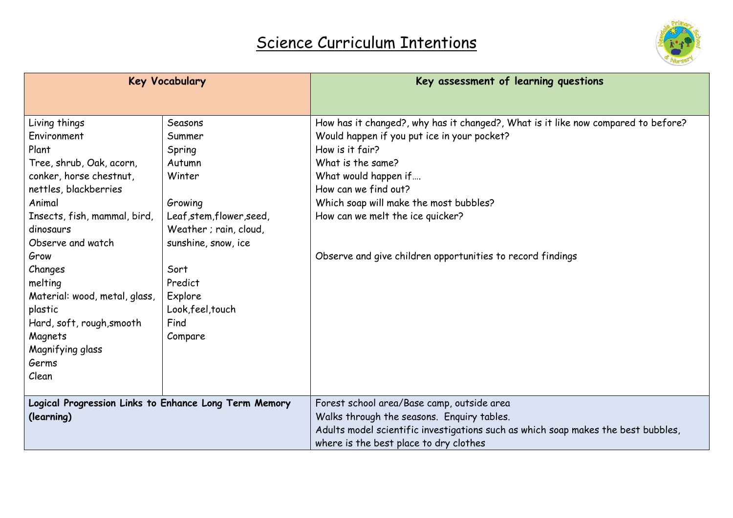

| <b>Key Vocabulary</b>                                 |                           | Key assessment of learning questions                                              |
|-------------------------------------------------------|---------------------------|-----------------------------------------------------------------------------------|
|                                                       |                           |                                                                                   |
| Living things                                         | Seasons                   | How has it changed?, why has it changed?, What is it like now compared to before? |
| Environment                                           | Summer                    | Would happen if you put ice in your pocket?                                       |
| Plant                                                 | Spring                    | How is it fair?                                                                   |
| Tree, shrub, Oak, acorn,                              | Autumn                    | What is the same?                                                                 |
| conker, horse chestnut,                               | Winter                    | What would happen if                                                              |
| nettles, blackberries                                 |                           | How can we find out?                                                              |
| Animal                                                | Growing                   | Which soap will make the most bubbles?                                            |
| Insects, fish, mammal, bird,                          | Leaf, stem, flower, seed, | How can we melt the ice quicker?                                                  |
| dinosaurs                                             | Weather ; rain, cloud,    |                                                                                   |
| Observe and watch                                     | sunshine, snow, ice       |                                                                                   |
| Grow                                                  |                           | Observe and give children opportunities to record findings                        |
| Changes                                               | Sort                      |                                                                                   |
| melting                                               | Predict                   |                                                                                   |
| Material: wood, metal, glass,                         | Explore                   |                                                                                   |
| plastic                                               | Look, feel, touch         |                                                                                   |
| Hard, soft, rough, smooth                             | Find                      |                                                                                   |
| Magnets                                               | Compare                   |                                                                                   |
| Magnifying glass                                      |                           |                                                                                   |
| Germs                                                 |                           |                                                                                   |
| Clean                                                 |                           |                                                                                   |
|                                                       |                           |                                                                                   |
| Logical Progression Links to Enhance Long Term Memory |                           | Forest school area/Base camp, outside area                                        |
| (learning)                                            |                           | Walks through the seasons. Enquiry tables.                                        |
|                                                       |                           | Adults model scientific investigations such as which soap makes the best bubbles, |
|                                                       |                           | where is the best place to dry clothes                                            |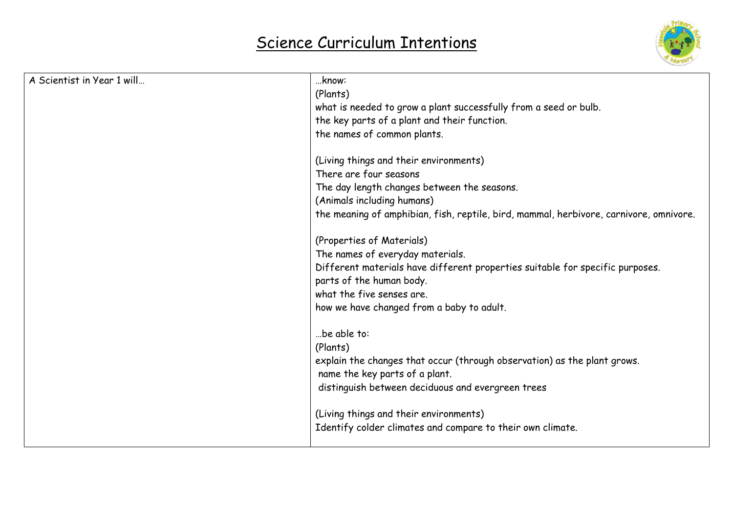

| A Scientist in Year 1 will | know:                                                                                  |
|----------------------------|----------------------------------------------------------------------------------------|
|                            | (Plants)                                                                               |
|                            | what is needed to grow a plant successfully from a seed or bulb.                       |
|                            | the key parts of a plant and their function.                                           |
|                            | the names of common plants.                                                            |
|                            | (Living things and their environments)                                                 |
|                            | There are four seasons                                                                 |
|                            | The day length changes between the seasons.                                            |
|                            | (Animals including humans)                                                             |
|                            | the meaning of amphibian, fish, reptile, bird, mammal, herbivore, carnivore, omnivore. |
|                            | (Properties of Materials)                                                              |
|                            | The names of everyday materials.                                                       |
|                            | Different materials have different properties suitable for specific purposes.          |
|                            | parts of the human body.                                                               |
|                            | what the five senses are.                                                              |
|                            | how we have changed from a baby to adult.                                              |
|                            | be able to:                                                                            |
|                            | (Plants)                                                                               |
|                            | explain the changes that occur (through observation) as the plant grows.               |
|                            | name the key parts of a plant.                                                         |
|                            | distinguish between deciduous and evergreen trees                                      |
|                            | (Living things and their environments)                                                 |
|                            | Identify colder climates and compare to their own climate.                             |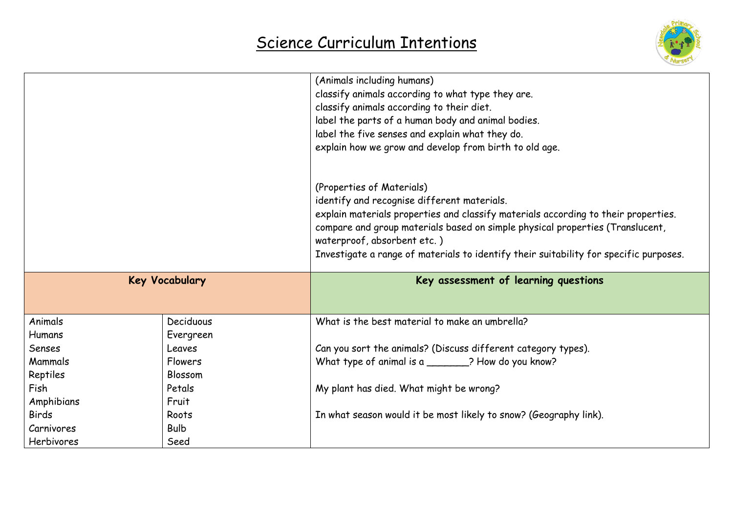

|                       |                        | (Animals including humans)<br>classify animals according to what type they are.<br>classify animals according to their diet.<br>label the parts of a human body and animal bodies.<br>label the five senses and explain what they do.<br>explain how we grow and develop from birth to old age. |
|-----------------------|------------------------|-------------------------------------------------------------------------------------------------------------------------------------------------------------------------------------------------------------------------------------------------------------------------------------------------|
|                       |                        | (Properties of Materials)<br>identify and recognise different materials.                                                                                                                                                                                                                        |
|                       |                        | explain materials properties and classify materials according to their properties.<br>compare and group materials based on simple physical properties (Translucent,<br>waterproof, absorbent etc.)<br>Investigate a range of materials to identify their suitability for specific purposes.     |
| <b>Key Vocabulary</b> |                        | Key assessment of learning questions                                                                                                                                                                                                                                                            |
| Animals<br>Humans     | Deciduous<br>Evergreen | What is the best material to make an umbrella?                                                                                                                                                                                                                                                  |
| Senses                | Leaves                 | Can you sort the animals? (Discuss different category types).                                                                                                                                                                                                                                   |
| Mammals               | <b>Flowers</b>         | What type of animal is a _______? How do you know?                                                                                                                                                                                                                                              |
| Reptiles              | Blossom                |                                                                                                                                                                                                                                                                                                 |
| Fish                  | Petals                 | My plant has died. What might be wrong?                                                                                                                                                                                                                                                         |
| Amphibians            | Fruit                  |                                                                                                                                                                                                                                                                                                 |
| <b>Birds</b>          | Roots                  | In what season would it be most likely to snow? (Geography link).                                                                                                                                                                                                                               |
| Carnivores            | <b>Bulb</b>            |                                                                                                                                                                                                                                                                                                 |
| Herbivores            | Seed                   |                                                                                                                                                                                                                                                                                                 |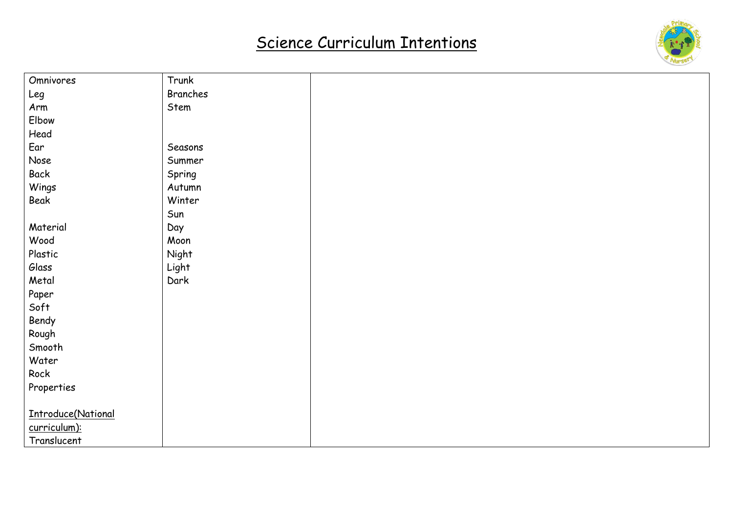

| Omnivores          | Trunk    |  |
|--------------------|----------|--|
| Leg                | Branches |  |
| Arm                | Stem     |  |
| Elbow              |          |  |
| Head               |          |  |
| Ear                | Seasons  |  |
| Nose               | Summer   |  |
| Back               | Spring   |  |
| Wings              | Autumn   |  |
| Beak               | Winter   |  |
|                    | Sun      |  |
| Material           | Day      |  |
| Wood               | Moon     |  |
| Plastic            | Night    |  |
| Glass              | Light    |  |
| Metal              | Dark     |  |
| Paper              |          |  |
| Soft               |          |  |
| Bendy              |          |  |
| Rough              |          |  |
| Smooth             |          |  |
| Water              |          |  |
| Rock               |          |  |
| Properties         |          |  |
|                    |          |  |
| Introduce(National |          |  |
| curriculum):       |          |  |
| Translucent        |          |  |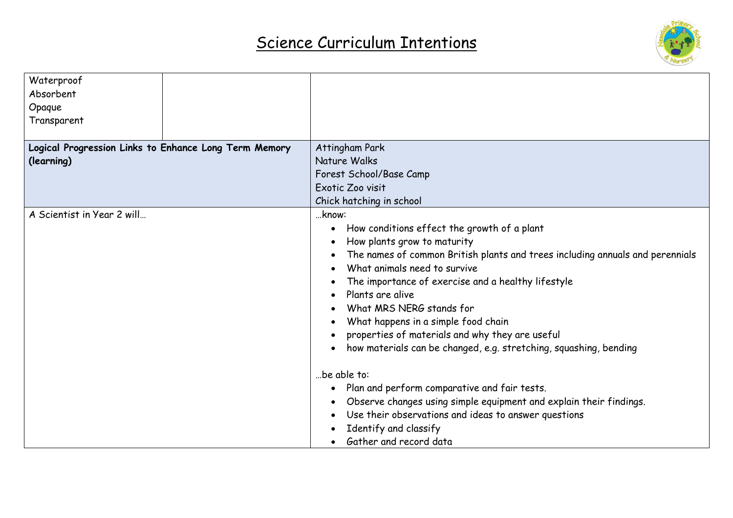

| Waterproof                                            |                                                                               |
|-------------------------------------------------------|-------------------------------------------------------------------------------|
| Absorbent                                             |                                                                               |
| Opaque                                                |                                                                               |
| Transparent                                           |                                                                               |
|                                                       |                                                                               |
| Logical Progression Links to Enhance Long Term Memory | Attingham Park                                                                |
| (learning)                                            | Nature Walks                                                                  |
|                                                       | Forest School/Base Camp                                                       |
|                                                       | Exotic Zoo visit                                                              |
|                                                       | Chick hatching in school                                                      |
| A Scientist in Year 2 will                            | know:                                                                         |
|                                                       | How conditions effect the growth of a plant                                   |
|                                                       | How plants grow to maturity                                                   |
|                                                       | The names of common British plants and trees including annuals and perennials |
|                                                       | What animals need to survive                                                  |
|                                                       | The importance of exercise and a healthy lifestyle                            |
|                                                       | Plants are alive                                                              |
|                                                       | What MRS NERG stands for                                                      |
|                                                       | What happens in a simple food chain                                           |
|                                                       | properties of materials and why they are useful                               |
|                                                       | how materials can be changed, e.g. stretching, squashing, bending             |
|                                                       | be able to:                                                                   |
|                                                       |                                                                               |
|                                                       | Plan and perform comparative and fair tests.                                  |
|                                                       | Observe changes using simple equipment and explain their findings.            |
|                                                       | Use their observations and ideas to answer questions                          |
|                                                       | Identify and classify                                                         |
|                                                       | Gather and record data                                                        |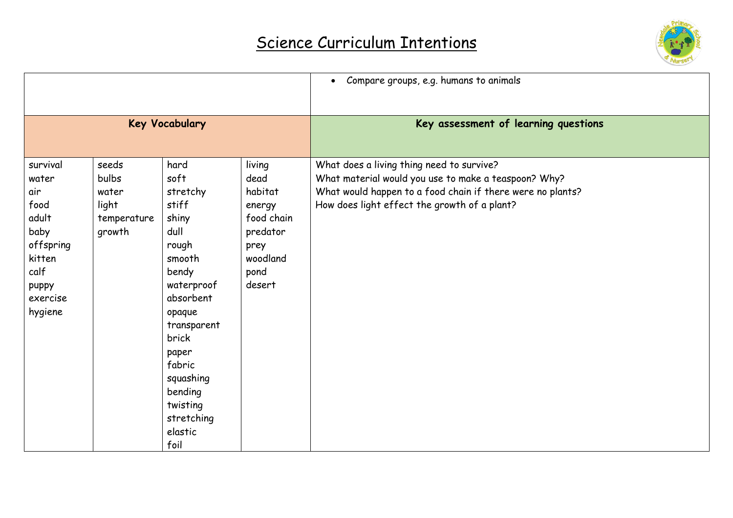

|                                                                                                                  |                                                           |                                                                                                                                                                                                                                     |                                                                                                     | Compare groups, e.g. humans to animals                                                                                                                                                                          |
|------------------------------------------------------------------------------------------------------------------|-----------------------------------------------------------|-------------------------------------------------------------------------------------------------------------------------------------------------------------------------------------------------------------------------------------|-----------------------------------------------------------------------------------------------------|-----------------------------------------------------------------------------------------------------------------------------------------------------------------------------------------------------------------|
| <b>Key Vocabulary</b>                                                                                            |                                                           |                                                                                                                                                                                                                                     |                                                                                                     | Key assessment of learning questions                                                                                                                                                                            |
| survival<br>water<br>air<br>food<br>adult<br>baby<br>offspring<br>kitten<br>calf<br>puppy<br>exercise<br>hygiene | seeds<br>bulbs<br>water<br>light<br>temperature<br>growth | hard<br>soft<br>stretchy<br>stiff<br>shiny<br>dull<br>rough<br>smooth<br>bendy<br>waterproof<br>absorbent<br>opaque<br>transparent<br>brick<br>paper<br>fabric<br>squashing<br>bending<br>twisting<br>stretching<br>elastic<br>foil | living<br>dead<br>habitat<br>energy<br>food chain<br>predator<br>prey<br>woodland<br>pond<br>desert | What does a living thing need to survive?<br>What material would you use to make a teaspoon? Why?<br>What would happen to a food chain if there were no plants?<br>How does light effect the growth of a plant? |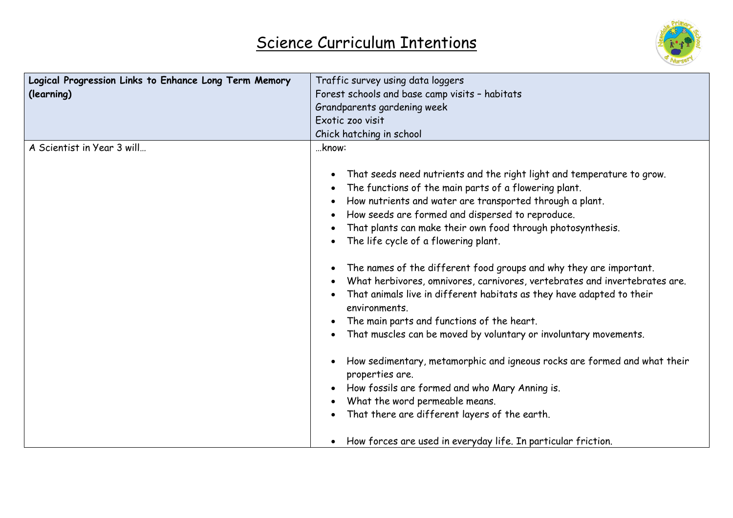

| Logical Progression Links to Enhance Long Term Memory | Traffic survey using data loggers                                                                                                                                                                                                                                                                                                                                                                                                                                                                                                                                                                                                                                                                                                                                                                                                                                                                                                                               |
|-------------------------------------------------------|-----------------------------------------------------------------------------------------------------------------------------------------------------------------------------------------------------------------------------------------------------------------------------------------------------------------------------------------------------------------------------------------------------------------------------------------------------------------------------------------------------------------------------------------------------------------------------------------------------------------------------------------------------------------------------------------------------------------------------------------------------------------------------------------------------------------------------------------------------------------------------------------------------------------------------------------------------------------|
| (learning)                                            | Forest schools and base camp visits - habitats                                                                                                                                                                                                                                                                                                                                                                                                                                                                                                                                                                                                                                                                                                                                                                                                                                                                                                                  |
|                                                       | Grandparents gardening week                                                                                                                                                                                                                                                                                                                                                                                                                                                                                                                                                                                                                                                                                                                                                                                                                                                                                                                                     |
|                                                       | Exotic zoo visit                                                                                                                                                                                                                                                                                                                                                                                                                                                                                                                                                                                                                                                                                                                                                                                                                                                                                                                                                |
|                                                       | Chick hatching in school                                                                                                                                                                                                                                                                                                                                                                                                                                                                                                                                                                                                                                                                                                                                                                                                                                                                                                                                        |
| A Scientist in Year 3 will                            | know:                                                                                                                                                                                                                                                                                                                                                                                                                                                                                                                                                                                                                                                                                                                                                                                                                                                                                                                                                           |
|                                                       | That seeds need nutrients and the right light and temperature to grow.<br>The functions of the main parts of a flowering plant.<br>How nutrients and water are transported through a plant.<br>How seeds are formed and dispersed to reproduce.<br>That plants can make their own food through photosynthesis.<br>The life cycle of a flowering plant.<br>The names of the different food groups and why they are important.<br>٠<br>What herbivores, omnivores, carnivores, vertebrates and invertebrates are.<br>That animals live in different habitats as they have adapted to their<br>environments.<br>The main parts and functions of the heart.<br>That muscles can be moved by voluntary or involuntary movements.<br>How sedimentary, metamorphic and igneous rocks are formed and what their<br>properties are.<br>How fossils are formed and who Mary Anning is.<br>What the word permeable means.<br>That there are different layers of the earth. |
|                                                       |                                                                                                                                                                                                                                                                                                                                                                                                                                                                                                                                                                                                                                                                                                                                                                                                                                                                                                                                                                 |
|                                                       | How forces are used in everyday life. In particular friction.                                                                                                                                                                                                                                                                                                                                                                                                                                                                                                                                                                                                                                                                                                                                                                                                                                                                                                   |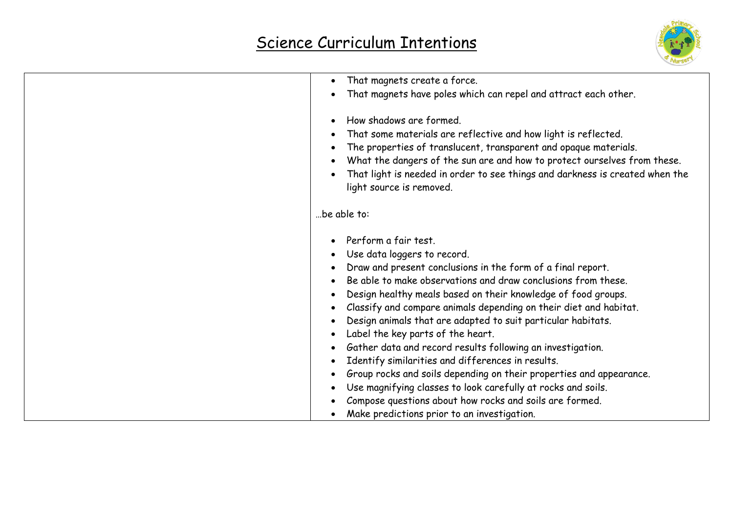

| That magnets create a force.<br>$\bullet$                                                                                                                                                                                                                                                                                                                                                                                                                                                                                                                                                                                                                                                                          |
|--------------------------------------------------------------------------------------------------------------------------------------------------------------------------------------------------------------------------------------------------------------------------------------------------------------------------------------------------------------------------------------------------------------------------------------------------------------------------------------------------------------------------------------------------------------------------------------------------------------------------------------------------------------------------------------------------------------------|
| That magnets have poles which can repel and attract each other.                                                                                                                                                                                                                                                                                                                                                                                                                                                                                                                                                                                                                                                    |
| How shadows are formed.<br>$\bullet$<br>That some materials are reflective and how light is reflected.<br>The properties of translucent, transparent and opaque materials.<br>$\bullet$<br>What the dangers of the sun are and how to protect ourselves from these.<br>That light is needed in order to see things and darkness is created when the<br>light source is removed.                                                                                                                                                                                                                                                                                                                                    |
| be able to:                                                                                                                                                                                                                                                                                                                                                                                                                                                                                                                                                                                                                                                                                                        |
| Perform a fair test.<br>Use data loggers to record.<br>Draw and present conclusions in the form of a final report.<br>Be able to make observations and draw conclusions from these.<br>Design healthy meals based on their knowledge of food groups.<br>Classify and compare animals depending on their diet and habitat.<br>Design animals that are adapted to suit particular habitats.<br>Label the key parts of the heart.<br>Gather data and record results following an investigation.<br>$\bullet$<br>Identify similarities and differences in results.<br>Group rocks and soils depending on their properties and appearance.<br>$\bullet$<br>Use magnifying classes to look carefully at rocks and soils. |
| Compose questions about how rocks and soils are formed.<br>Make predictions prior to an investigation.                                                                                                                                                                                                                                                                                                                                                                                                                                                                                                                                                                                                             |
|                                                                                                                                                                                                                                                                                                                                                                                                                                                                                                                                                                                                                                                                                                                    |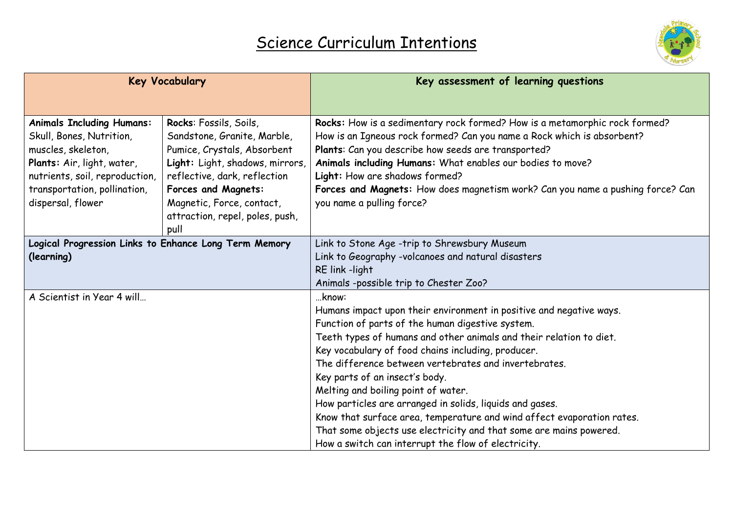

|                                                       | <b>Key Vocabulary</b>           | Key assessment of learning questions                                           |
|-------------------------------------------------------|---------------------------------|--------------------------------------------------------------------------------|
|                                                       |                                 |                                                                                |
| <b>Animals Including Humans:</b>                      | Rocks: Fossils, Soils,          | Rocks: How is a sedimentary rock formed? How is a metamorphic rock formed?     |
| Skull, Bones, Nutrition,                              | Sandstone, Granite, Marble,     | How is an Igneous rock formed? Can you name a Rock which is absorbent?         |
| muscles, skeleton,                                    | Pumice, Crystals, Absorbent     | Plants: Can you describe how seeds are transported?                            |
| Plants: Air, light, water,                            | Light: Light, shadows, mirrors, | Animals including Humans: What enables our bodies to move?                     |
| nutrients, soil, reproduction,                        | reflective, dark, reflection    | Light: How are shadows formed?                                                 |
| transportation, pollination,                          | <b>Forces and Magnets:</b>      | Forces and Magnets: How does magnetism work? Can you name a pushing force? Can |
| dispersal, flower                                     | Magnetic, Force, contact,       | you name a pulling force?                                                      |
|                                                       | attraction, repel, poles, push, |                                                                                |
|                                                       | pull                            |                                                                                |
| Logical Progression Links to Enhance Long Term Memory |                                 | Link to Stone Age -trip to Shrewsbury Museum                                   |
| (learning)                                            |                                 | Link to Geography -volcanoes and natural disasters                             |
|                                                       |                                 | RE link -light                                                                 |
|                                                       |                                 | Animals -possible trip to Chester Zoo?                                         |
| A Scientist in Year 4 will                            |                                 | know:                                                                          |
|                                                       |                                 | Humans impact upon their environment in positive and negative ways.            |
|                                                       |                                 | Function of parts of the human digestive system.                               |
|                                                       |                                 | Teeth types of humans and other animals and their relation to diet.            |
|                                                       |                                 | Key vocabulary of food chains including, producer.                             |
|                                                       |                                 | The difference between vertebrates and invertebrates.                          |
|                                                       |                                 | Key parts of an insect's body.                                                 |
|                                                       |                                 | Melting and boiling point of water.                                            |
|                                                       |                                 | How particles are arranged in solids, liquids and gases.                       |
|                                                       |                                 | Know that surface area, temperature and wind affect evaporation rates.         |
|                                                       |                                 | That some objects use electricity and that some are mains powered.             |
|                                                       |                                 | How a switch can interrupt the flow of electricity.                            |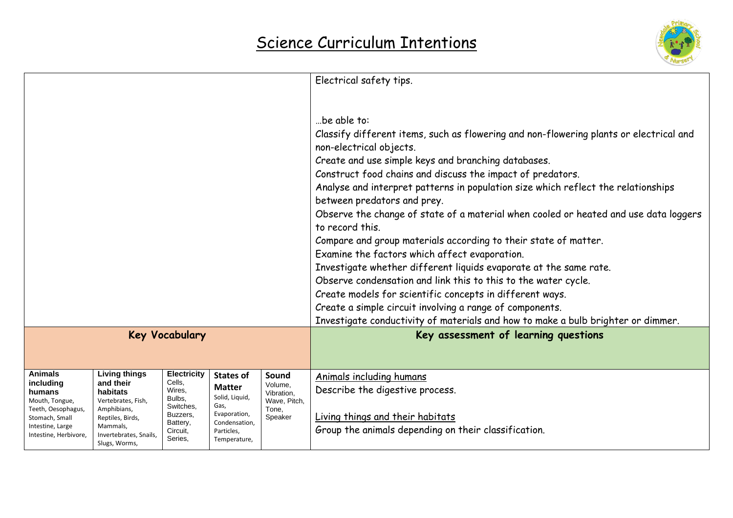

|                                           |                                    |                              |                                 |                       | Electrical safety tips.                                                                |
|-------------------------------------------|------------------------------------|------------------------------|---------------------------------|-----------------------|----------------------------------------------------------------------------------------|
|                                           |                                    |                              |                                 |                       |                                                                                        |
|                                           |                                    |                              |                                 |                       |                                                                                        |
|                                           |                                    |                              |                                 |                       | be able to:                                                                            |
|                                           |                                    |                              |                                 |                       | Classify different items, such as flowering and non-flowering plants or electrical and |
|                                           |                                    |                              |                                 |                       | non-electrical objects.                                                                |
|                                           |                                    |                              |                                 |                       | Create and use simple keys and branching databases.                                    |
|                                           |                                    |                              |                                 |                       | Construct food chains and discuss the impact of predators.                             |
|                                           |                                    |                              |                                 |                       | Analyse and interpret patterns in population size which reflect the relationships      |
|                                           |                                    |                              |                                 |                       | between predators and prey.                                                            |
|                                           |                                    |                              |                                 |                       | Observe the change of state of a material when cooled or heated and use data loggers   |
|                                           |                                    |                              |                                 |                       | to record this.                                                                        |
|                                           |                                    |                              |                                 |                       | Compare and group materials according to their state of matter.                        |
|                                           |                                    |                              |                                 |                       | Examine the factors which affect evaporation.                                          |
|                                           |                                    |                              |                                 |                       | Investigate whether different liquids evaporate at the same rate.                      |
|                                           |                                    |                              |                                 |                       | Observe condensation and link this to this to the water cycle.                         |
|                                           |                                    |                              |                                 |                       | Create models for scientific concepts in different ways.                               |
|                                           |                                    |                              |                                 |                       | Create a simple circuit involving a range of components.                               |
|                                           |                                    |                              |                                 |                       | Investigate conductivity of materials and how to make a bulb brighter or dimmer.       |
|                                           |                                    | <b>Key Vocabulary</b>        |                                 |                       | Key assessment of learning questions                                                   |
|                                           |                                    |                              |                                 |                       |                                                                                        |
|                                           |                                    |                              |                                 |                       |                                                                                        |
| <b>Animals</b><br>including               | <b>Living things</b><br>and their  | <b>Electricity</b><br>Cells. | <b>States of</b>                | Sound                 | Animals including humans                                                               |
| humans                                    | habitats                           | Wires,                       | <b>Matter</b><br>Solid, Liquid, | Volume,<br>Vibration, | Describe the digestive process.                                                        |
| Mouth, Tongue,<br>Teeth, Oesophagus,      | Vertebrates, Fish,<br>Amphibians,  | Bulbs.<br>Switches,          | Gas,                            | Wave, Pitch,<br>Tone. |                                                                                        |
| Stomach, Small                            | Reptiles, Birds,                   | Buzzers,<br>Battery,         | Evaporation,<br>Condensation,   | Speaker               | Living things and their habitats                                                       |
| Intestine, Large<br>Intestine, Herbivore, | Mammals,<br>Invertebrates, Snails, | Circuit,                     | Particles,                      |                       | Group the animals depending on their classification.                                   |
|                                           | Slugs, Worms,                      | Series,                      | Temperature,                    |                       |                                                                                        |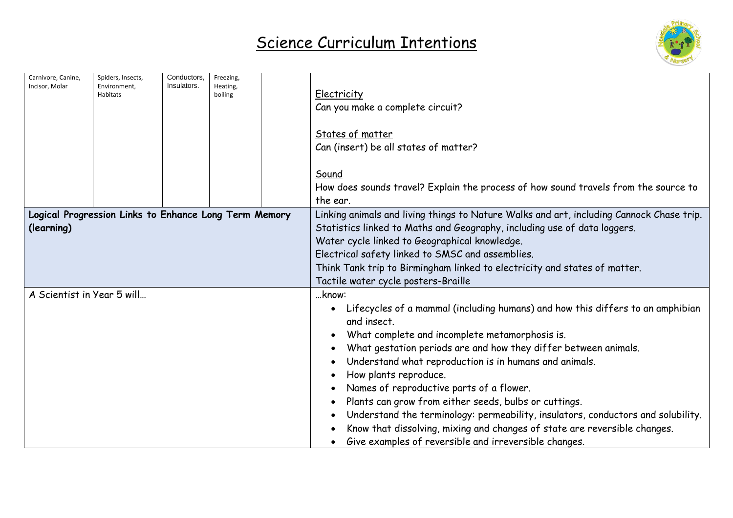

| Carnivore, Canine,<br>Incisor. Molar                                |  | Spiders, Insects,<br>Environment.<br>Habitats | Conductors,<br>Insulators. | Freezing,<br>Heating,<br>boiling                                                                                                                                                                                                                                                                                                                                                                                                                                                                                                                                                                                                              | Electricity<br>Can you make a complete circuit?<br>States of matter<br>Can (insert) be all states of matter?<br>Sound<br>How does sounds travel? Explain the process of how sound travels from the source to                                                                                                                                                                                  |  |
|---------------------------------------------------------------------|--|-----------------------------------------------|----------------------------|-----------------------------------------------------------------------------------------------------------------------------------------------------------------------------------------------------------------------------------------------------------------------------------------------------------------------------------------------------------------------------------------------------------------------------------------------------------------------------------------------------------------------------------------------------------------------------------------------------------------------------------------------|-----------------------------------------------------------------------------------------------------------------------------------------------------------------------------------------------------------------------------------------------------------------------------------------------------------------------------------------------------------------------------------------------|--|
|                                                                     |  |                                               |                            |                                                                                                                                                                                                                                                                                                                                                                                                                                                                                                                                                                                                                                               | the ear.                                                                                                                                                                                                                                                                                                                                                                                      |  |
| Logical Progression Links to Enhance Long Term Memory<br>(learning) |  |                                               |                            |                                                                                                                                                                                                                                                                                                                                                                                                                                                                                                                                                                                                                                               | Linking animals and living things to Nature Walks and art, including Cannock Chase trip.<br>Statistics linked to Maths and Geography, including use of data loggers.<br>Water cycle linked to Geographical knowledge.<br>Electrical safety linked to SMSC and assemblies.<br>Think Tank trip to Birmingham linked to electricity and states of matter.<br>Tactile water cycle posters-Braille |  |
| A Scientist in Year 5 will                                          |  |                                               |                            | know:<br>Lifecycles of a mammal (including humans) and how this differs to an amphibian<br>and insect.<br>What complete and incomplete metamorphosis is.<br>What gestation periods are and how they differ between animals.<br>Understand what reproduction is in humans and animals.<br>How plants reproduce.<br>Names of reproductive parts of a flower.<br>Plants can grow from either seeds, bulbs or cuttings.<br>Understand the terminology: permeability, insulators, conductors and solubility.<br>Know that dissolving, mixing and changes of state are reversible changes.<br>Give examples of reversible and irreversible changes. |                                                                                                                                                                                                                                                                                                                                                                                               |  |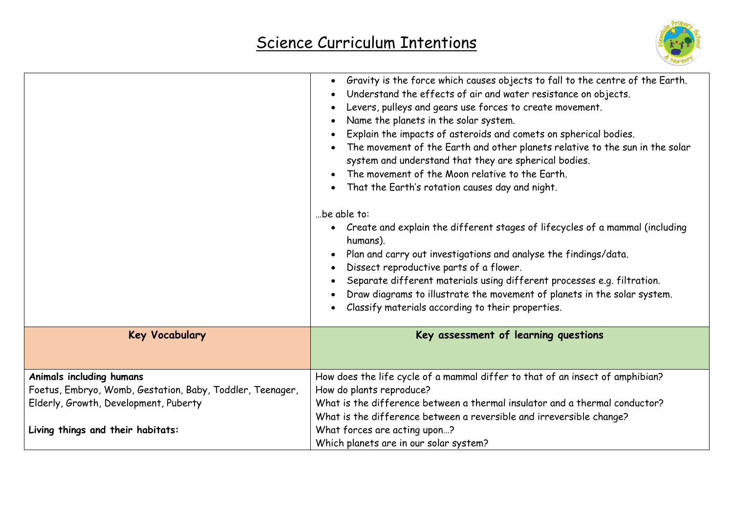

|                                                           | Gravity is the force which causes objects to fall to the centre of the Earth.<br>Understand the effects of air and water resistance on objects.<br>Levers, pulleys and gears use forces to create movement.<br>Name the planets in the solar system.<br>Explain the impacts of asteroids and comets on spherical bodies.<br>The movement of the Earth and other planets relative to the sun in the solar<br>system and understand that they are spherical bodies.<br>The movement of the Moon relative to the Earth.<br>That the Earth's rotation causes day and night.<br>be able to:<br>Create and explain the different stages of lifecycles of a mammal (including<br>humans).<br>Plan and carry out investigations and analyse the findings/data.<br>Dissect reproductive parts of a flower.<br>Separate different materials using different processes e.g. filtration.<br>Draw diagrams to illustrate the movement of planets in the solar system.<br>Classify materials according to their properties. |
|-----------------------------------------------------------|---------------------------------------------------------------------------------------------------------------------------------------------------------------------------------------------------------------------------------------------------------------------------------------------------------------------------------------------------------------------------------------------------------------------------------------------------------------------------------------------------------------------------------------------------------------------------------------------------------------------------------------------------------------------------------------------------------------------------------------------------------------------------------------------------------------------------------------------------------------------------------------------------------------------------------------------------------------------------------------------------------------|
| <b>Key Vocabulary</b>                                     | Key assessment of learning questions                                                                                                                                                                                                                                                                                                                                                                                                                                                                                                                                                                                                                                                                                                                                                                                                                                                                                                                                                                          |
| Animals including humans                                  | How does the life cycle of a mammal differ to that of an insect of amphibian?                                                                                                                                                                                                                                                                                                                                                                                                                                                                                                                                                                                                                                                                                                                                                                                                                                                                                                                                 |
| Foetus, Embryo, Womb, Gestation, Baby, Toddler, Teenager, | How do plants reproduce?                                                                                                                                                                                                                                                                                                                                                                                                                                                                                                                                                                                                                                                                                                                                                                                                                                                                                                                                                                                      |
| Elderly, Growth, Development, Puberty                     | What is the difference between a thermal insulator and a thermal conductor?                                                                                                                                                                                                                                                                                                                                                                                                                                                                                                                                                                                                                                                                                                                                                                                                                                                                                                                                   |
|                                                           | What is the difference between a reversible and irreversible change?                                                                                                                                                                                                                                                                                                                                                                                                                                                                                                                                                                                                                                                                                                                                                                                                                                                                                                                                          |
| Living things and their habitats:                         | What forces are acting upon?                                                                                                                                                                                                                                                                                                                                                                                                                                                                                                                                                                                                                                                                                                                                                                                                                                                                                                                                                                                  |
|                                                           | Which planets are in our solar system?                                                                                                                                                                                                                                                                                                                                                                                                                                                                                                                                                                                                                                                                                                                                                                                                                                                                                                                                                                        |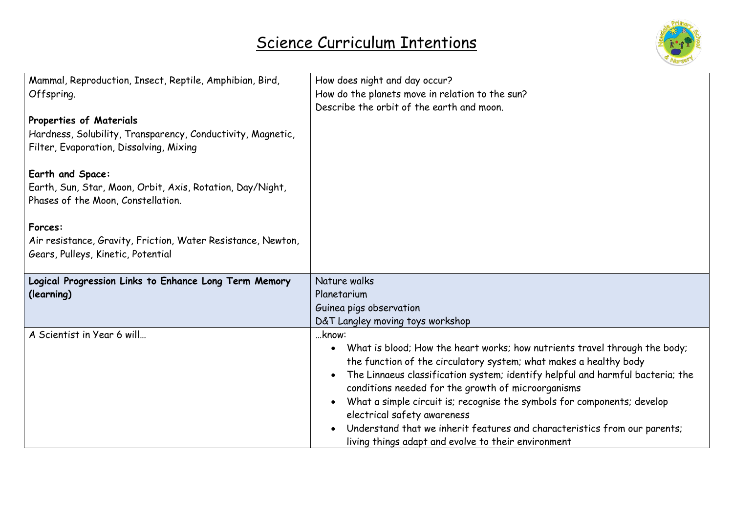

| Mammal, Reproduction, Insect, Reptile, Amphibian, Bird,<br>Offspring.<br>Properties of Materials<br>Hardness, Solubility, Transparency, Conductivity, Magnetic,<br>Filter, Evaporation, Dissolving, Mixing<br>Earth and Space:<br>Earth, Sun, Star, Moon, Orbit, Axis, Rotation, Day/Night,<br>Phases of the Moon, Constellation.<br>Forces:<br>Air resistance, Gravity, Friction, Water Resistance, Newton,<br>Gears, Pulleys, Kinetic, Potential | How does night and day occur?<br>How do the planets move in relation to the sun?<br>Describe the orbit of the earth and moon.                                                                                                                                                                                                                                                                                                                                                                                                                                                                                             |
|----------------------------------------------------------------------------------------------------------------------------------------------------------------------------------------------------------------------------------------------------------------------------------------------------------------------------------------------------------------------------------------------------------------------------------------------------|---------------------------------------------------------------------------------------------------------------------------------------------------------------------------------------------------------------------------------------------------------------------------------------------------------------------------------------------------------------------------------------------------------------------------------------------------------------------------------------------------------------------------------------------------------------------------------------------------------------------------|
| Logical Progression Links to Enhance Long Term Memory<br>(learning)                                                                                                                                                                                                                                                                                                                                                                                | Nature walks<br>Planetarium<br>Guinea pigs observation                                                                                                                                                                                                                                                                                                                                                                                                                                                                                                                                                                    |
| A Scientist in Year 6 will                                                                                                                                                                                                                                                                                                                                                                                                                         | D&T Langley moving toys workshop<br>know:<br>What is blood; How the heart works; how nutrients travel through the body;<br>$\bullet$<br>the function of the circulatory system; what makes a healthy body<br>The Linnaeus classification system; identify helpful and harmful bacteria; the<br>$\bullet$<br>conditions needed for the growth of microorganisms<br>What a simple circuit is; recognise the symbols for components; develop<br>$\bullet$<br>electrical safety awareness<br>Understand that we inherit features and characteristics from our parents;<br>living things adapt and evolve to their environment |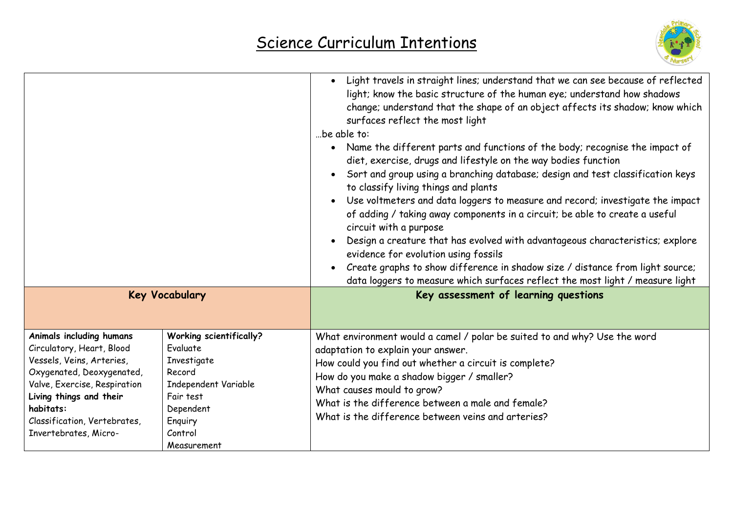

|                                                                                                                                                                                                                                                  |                                                                                                                                                            | Light travels in straight lines; understand that we can see because of reflected<br>light; know the basic structure of the human eye; understand how shadows<br>change; understand that the shape of an object affects its shadow; know which<br>surfaces reflect the most light<br>be able to:<br>Name the different parts and functions of the body; recognise the impact of<br>diet, exercise, drugs and lifestyle on the way bodies function<br>Sort and group using a branching database; design and test classification keys<br>to classify living things and plants<br>Use voltmeters and data loggers to measure and record; investigate the impact<br>of adding / taking away components in a circuit; be able to create a useful<br>circuit with a purpose<br>Design a creature that has evolved with advantageous characteristics; explore<br>evidence for evolution using fossils<br>Create graphs to show difference in shadow size / distance from light source;<br>data loggers to measure which surfaces reflect the most light / measure light |  |
|--------------------------------------------------------------------------------------------------------------------------------------------------------------------------------------------------------------------------------------------------|------------------------------------------------------------------------------------------------------------------------------------------------------------|-----------------------------------------------------------------------------------------------------------------------------------------------------------------------------------------------------------------------------------------------------------------------------------------------------------------------------------------------------------------------------------------------------------------------------------------------------------------------------------------------------------------------------------------------------------------------------------------------------------------------------------------------------------------------------------------------------------------------------------------------------------------------------------------------------------------------------------------------------------------------------------------------------------------------------------------------------------------------------------------------------------------------------------------------------------------|--|
| <b>Key Vocabulary</b>                                                                                                                                                                                                                            |                                                                                                                                                            | Key assessment of learning questions                                                                                                                                                                                                                                                                                                                                                                                                                                                                                                                                                                                                                                                                                                                                                                                                                                                                                                                                                                                                                            |  |
| Animals including humans<br>Circulatory, Heart, Blood<br>Vessels, Veins, Arteries,<br>Oxygenated, Deoxygenated,<br>Valve, Exercise, Respiration<br>Living things and their<br>habitats:<br>Classification, Vertebrates,<br>Invertebrates, Micro- | <b>Working scientifically?</b><br>Evaluate<br>Investigate<br>Record<br>Independent Variable<br>Fair test<br>Dependent<br>Enquiry<br>Control<br>Measurement | What environment would a camel / polar be suited to and why? Use the word<br>adaptation to explain your answer.<br>How could you find out whether a circuit is complete?<br>How do you make a shadow bigger / smaller?<br>What causes mould to grow?<br>What is the difference between a male and female?<br>What is the difference between veins and arteries?                                                                                                                                                                                                                                                                                                                                                                                                                                                                                                                                                                                                                                                                                                 |  |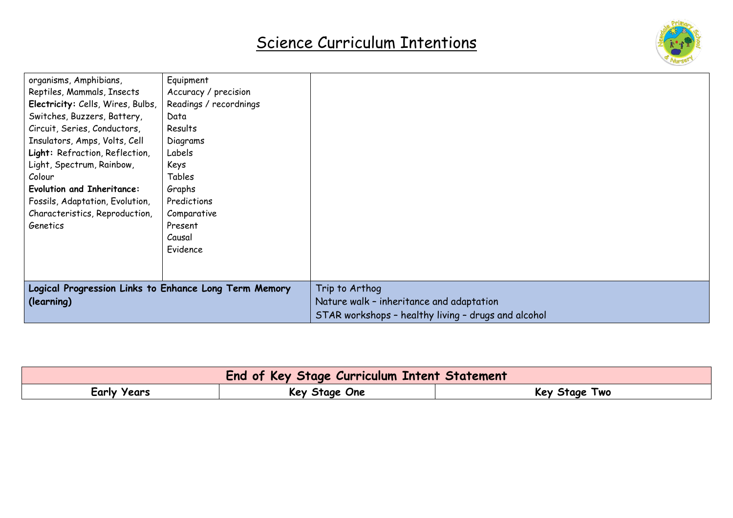

| organisms, Amphibians,                                | Equipment              |                                                     |
|-------------------------------------------------------|------------------------|-----------------------------------------------------|
| Reptiles, Mammals, Insects                            | Accuracy / precision   |                                                     |
| Electricity: Cells, Wires, Bulbs,                     | Readings / recordnings |                                                     |
| Switches, Buzzers, Battery,                           | Data                   |                                                     |
| Circuit, Series, Conductors,                          | Results                |                                                     |
| Insulators, Amps, Volts, Cell                         | Diagrams               |                                                     |
| Light: Refraction, Reflection,                        | Labels                 |                                                     |
| Light, Spectrum, Rainbow,                             | Keys                   |                                                     |
| Colour                                                | Tables                 |                                                     |
| <b>Evolution and Inheritance:</b>                     | Graphs                 |                                                     |
| Fossils, Adaptation, Evolution,                       | Predictions            |                                                     |
| Characteristics, Reproduction,                        | Comparative            |                                                     |
| Genetics                                              | Present                |                                                     |
|                                                       | Causal                 |                                                     |
|                                                       | Evidence               |                                                     |
|                                                       |                        |                                                     |
|                                                       |                        |                                                     |
| Logical Progression Links to Enhance Long Term Memory |                        | Trip to Arthog                                      |
| (learning)                                            |                        | Nature walk - inheritance and adaptation            |
|                                                       |                        | STAR workshops - healthy living - drugs and alcohol |

| <b>End of Key Stage Curriculum Intent Statement</b> |               |               |  |  |
|-----------------------------------------------------|---------------|---------------|--|--|
| Early Years                                         | Key Stage One | Key Stage Two |  |  |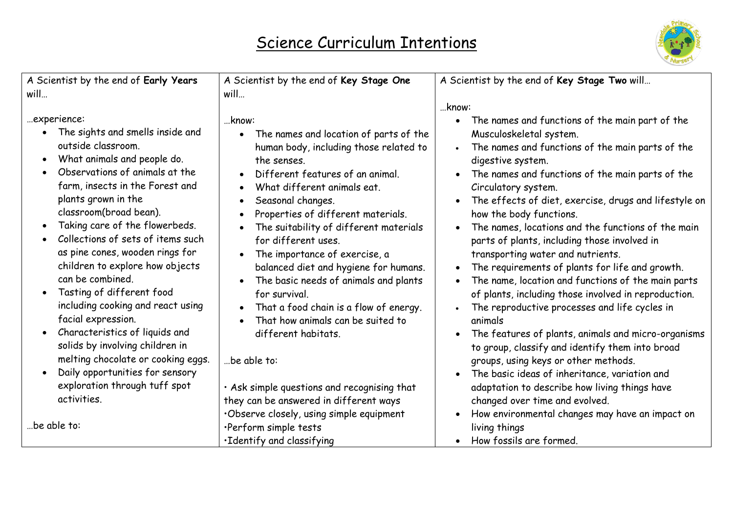

| A Scientist by the end of Early Years<br>will                                                                                                                                                                                                                                                                                                                                                                                                                                                                                                                                                                                                                                                                 | A Scientist by the end of Key Stage One<br>will                                                                                                                                                                                                                                                                                                                                                                                                                                                                                                                                                                                                                                                                                                                                                                          | A Scientist by the end of Key Stage Two will<br>know:                                                                                                                                                                                                                                                                                                                                                                                                                                                                                                                                                                                                                                                                                                                                                                                                                                                                                                                                                                                                             |
|---------------------------------------------------------------------------------------------------------------------------------------------------------------------------------------------------------------------------------------------------------------------------------------------------------------------------------------------------------------------------------------------------------------------------------------------------------------------------------------------------------------------------------------------------------------------------------------------------------------------------------------------------------------------------------------------------------------|--------------------------------------------------------------------------------------------------------------------------------------------------------------------------------------------------------------------------------------------------------------------------------------------------------------------------------------------------------------------------------------------------------------------------------------------------------------------------------------------------------------------------------------------------------------------------------------------------------------------------------------------------------------------------------------------------------------------------------------------------------------------------------------------------------------------------|-------------------------------------------------------------------------------------------------------------------------------------------------------------------------------------------------------------------------------------------------------------------------------------------------------------------------------------------------------------------------------------------------------------------------------------------------------------------------------------------------------------------------------------------------------------------------------------------------------------------------------------------------------------------------------------------------------------------------------------------------------------------------------------------------------------------------------------------------------------------------------------------------------------------------------------------------------------------------------------------------------------------------------------------------------------------|
| experience:<br>The sights and smells inside and<br>outside classroom.<br>What animals and people do.<br>Observations of animals at the<br>farm, insects in the Forest and<br>plants grown in the<br>classroom(broad bean).<br>Taking care of the flowerbeds.<br>Collections of sets of items such<br>as pine cones, wooden rings for<br>children to explore how objects<br>can be combined.<br>Tasting of different food<br>$\bullet$<br>including cooking and react using<br>facial expression.<br>Characteristics of liquids and<br>solids by involving children in<br>melting chocolate or cooking eggs.<br>Daily opportunities for sensory<br>exploration through tuff spot<br>activities.<br>be able to: | know:<br>The names and location of parts of the<br>$\bullet$<br>human body, including those related to<br>the senses.<br>Different features of an animal.<br>What different animals eat.<br>$\bullet$<br>Seasonal changes.<br>$\bullet$<br>Properties of different materials.<br>$\bullet$<br>The suitability of different materials<br>$\bullet$<br>for different uses.<br>The importance of exercise, a<br>$\bullet$<br>balanced diet and hygiene for humans.<br>The basic needs of animals and plants<br>for survival.<br>That a food chain is a flow of energy.<br>$\bullet$<br>That how animals can be suited to<br>different habitats.<br>be able to:<br>· Ask simple questions and recognising that<br>they can be answered in different ways<br>Observe closely, using simple equipment<br>·Perform simple tests | The names and functions of the main part of the<br>$\bullet$<br>Musculoskeletal system.<br>The names and functions of the main parts of the<br>digestive system.<br>The names and functions of the main parts of the<br>Circulatory system.<br>The effects of diet, exercise, drugs and lifestyle on<br>how the body functions.<br>The names, locations and the functions of the main<br>parts of plants, including those involved in<br>transporting water and nutrients.<br>The requirements of plants for life and growth.<br>The name, location and functions of the main parts<br>of plants, including those involved in reproduction.<br>The reproductive processes and life cycles in<br>animals<br>The features of plants, animals and micro-organisms<br>to group, classify and identify them into broad<br>groups, using keys or other methods.<br>The basic ideas of inheritance, variation and<br>adaptation to describe how living things have<br>changed over time and evolved.<br>How environmental changes may have an impact on<br>living things |
|                                                                                                                                                                                                                                                                                                                                                                                                                                                                                                                                                                                                                                                                                                               | ·Identify and classifying                                                                                                                                                                                                                                                                                                                                                                                                                                                                                                                                                                                                                                                                                                                                                                                                | How fossils are formed.                                                                                                                                                                                                                                                                                                                                                                                                                                                                                                                                                                                                                                                                                                                                                                                                                                                                                                                                                                                                                                           |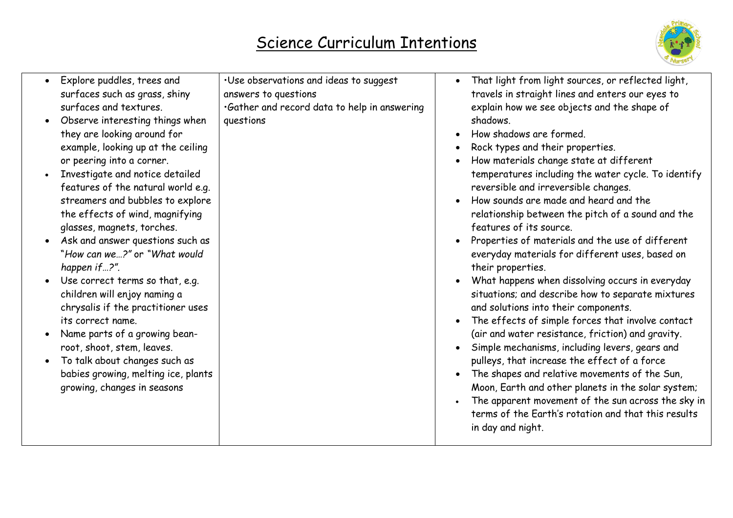

| Explore puddles, trees and<br>surfaces such as grass, shiny<br>surfaces and textures.<br>Observe interesting things when<br>they are looking around for<br>example, looking up at the ceiling<br>or peering into a corner.<br>Investigate and notice detailed<br>features of the natural world e.g.<br>streamers and bubbles to explore<br>the effects of wind, magnifying<br>glasses, magnets, torches.<br>Ask and answer questions such as<br>"How can we?" or "What would<br>happen if?".<br>Use correct terms so that, e.g.<br>children will enjoy naming a<br>chrysalis if the practitioner uses<br>its correct name.<br>Name parts of a growing bean-<br>root, shoot, stem, leaves.<br>To talk about changes such as<br>babies growing, melting ice, plants<br>growing, changes in seasons | . Use observations and ideas to suggest<br>answers to questions<br>.Gather and record data to help in answering<br>questions | That light from light sources, or reflected light,<br>$\bullet$<br>travels in straight lines and enters our eyes to<br>explain how we see objects and the shape of<br>shadows.<br>How shadows are formed.<br>Rock types and their properties.<br>How materials change state at different<br>temperatures including the water cycle. To identify<br>reversible and irreversible changes.<br>How sounds are made and heard and the<br>relationship between the pitch of a sound and the<br>features of its source.<br>Properties of materials and the use of different<br>everyday materials for different uses, based on<br>their properties.<br>What happens when dissolving occurs in everyday<br>situations; and describe how to separate mixtures<br>and solutions into their components.<br>The effects of simple forces that involve contact<br>(air and water resistance, friction) and gravity.<br>Simple mechanisms, including levers, gears and<br>pulleys, that increase the effect of a force<br>The shapes and relative movements of the Sun,<br>Moon, Earth and other planets in the solar system;<br>The apparent movement of the sun across the sky in<br>terms of the Earth's rotation and that this results<br>in day and night. |
|--------------------------------------------------------------------------------------------------------------------------------------------------------------------------------------------------------------------------------------------------------------------------------------------------------------------------------------------------------------------------------------------------------------------------------------------------------------------------------------------------------------------------------------------------------------------------------------------------------------------------------------------------------------------------------------------------------------------------------------------------------------------------------------------------|------------------------------------------------------------------------------------------------------------------------------|---------------------------------------------------------------------------------------------------------------------------------------------------------------------------------------------------------------------------------------------------------------------------------------------------------------------------------------------------------------------------------------------------------------------------------------------------------------------------------------------------------------------------------------------------------------------------------------------------------------------------------------------------------------------------------------------------------------------------------------------------------------------------------------------------------------------------------------------------------------------------------------------------------------------------------------------------------------------------------------------------------------------------------------------------------------------------------------------------------------------------------------------------------------------------------------------------------------------------------------------------|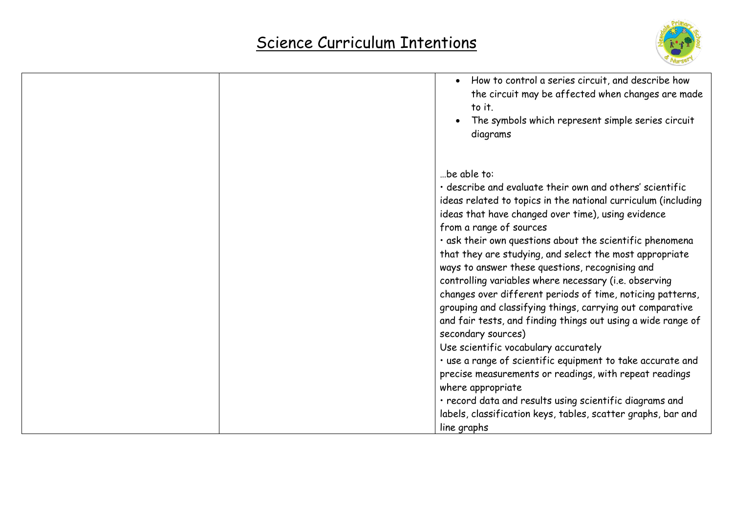

| How to control a series circuit, and describe how<br>$\bullet$<br>the circuit may be affected when changes are made<br>to it.<br>The symbols which represent simple series circuit<br>diagrams                                                                                                                                                                                                                                                                                                                                                                                                                                                                                                                                                                                                                                                                                                                                                                                                               |
|--------------------------------------------------------------------------------------------------------------------------------------------------------------------------------------------------------------------------------------------------------------------------------------------------------------------------------------------------------------------------------------------------------------------------------------------------------------------------------------------------------------------------------------------------------------------------------------------------------------------------------------------------------------------------------------------------------------------------------------------------------------------------------------------------------------------------------------------------------------------------------------------------------------------------------------------------------------------------------------------------------------|
| be able to:<br>· describe and evaluate their own and others' scientific<br>ideas related to topics in the national curriculum (including<br>ideas that have changed over time), using evidence<br>from a range of sources<br>· ask their own questions about the scientific phenomena<br>that they are studying, and select the most appropriate<br>ways to answer these questions, recognising and<br>controlling variables where necessary (i.e. observing<br>changes over different periods of time, noticing patterns,<br>grouping and classifying things, carrying out comparative<br>and fair tests, and finding things out using a wide range of<br>secondary sources)<br>Use scientific vocabulary accurately<br>· use a range of scientific equipment to take accurate and<br>precise measurements or readings, with repeat readings<br>where appropriate<br>· record data and results using scientific diagrams and<br>labels, classification keys, tables, scatter graphs, bar and<br>line graphs |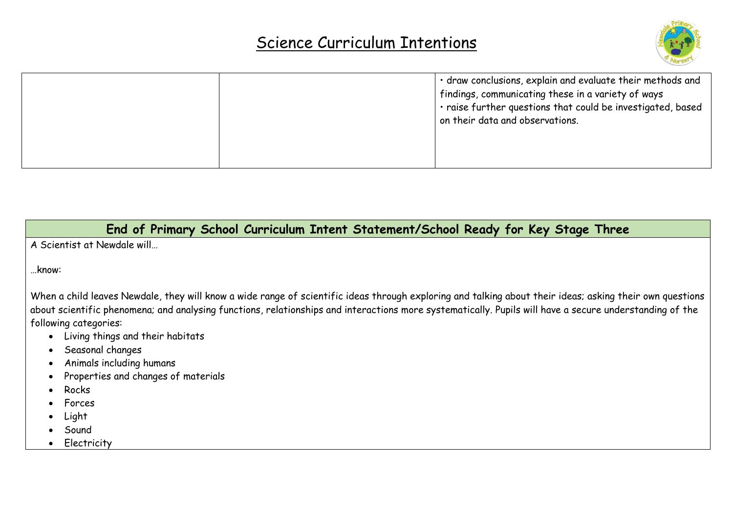

|  |  | · draw conclusions, explain and evaluate their methods and<br>$^\dagger$ findings, communicating these in a variety of ways<br>. raise further questions that could be investigated, based<br>on their data and observations. |
|--|--|-------------------------------------------------------------------------------------------------------------------------------------------------------------------------------------------------------------------------------|
|--|--|-------------------------------------------------------------------------------------------------------------------------------------------------------------------------------------------------------------------------------|

**End of Primary School Curriculum Intent Statement/School Ready for Key Stage Three**

A Scientist at Newdale will…

…know:

When a child leaves Newdale, they will know a wide range of scientific ideas through exploring and talking about their ideas; asking their own questions about scientific phenomena; and analysing functions, relationships and interactions more systematically. Pupils will have a secure understanding of the following categories:

- Living things and their habitats
- Seasonal changes
- Animals including humans
- Properties and changes of materials
- Rocks
- Forces
- Light
- Sound
- **Electricity**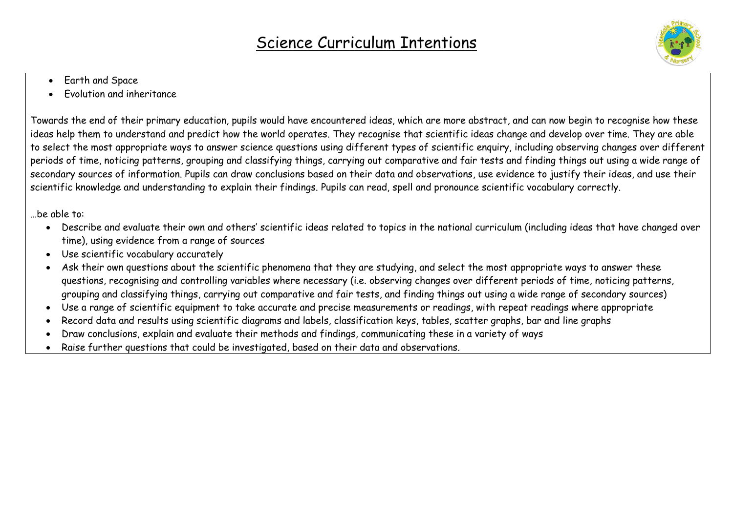

- Earth and Space
- Evolution and inheritance

Towards the end of their primary education, pupils would have encountered ideas, which are more abstract, and can now begin to recognise how these ideas help them to understand and predict how the world operates. They recognise that scientific ideas change and develop over time. They are able to select the most appropriate ways to answer science questions using different types of scientific enquiry, including observing changes over different periods of time, noticing patterns, grouping and classifying things, carrying out comparative and fair tests and finding things out using a wide range of secondary sources of information. Pupils can draw conclusions based on their data and observations, use evidence to justify their ideas, and use their scientific knowledge and understanding to explain their findings. Pupils can read, spell and pronounce scientific vocabulary correctly.

#### …be able to:

- Describe and evaluate their own and others' scientific ideas related to topics in the national curriculum (including ideas that have changed over time), using evidence from a range of sources
- Use scientific vocabulary accurately
- Ask their own questions about the scientific phenomena that they are studying, and select the most appropriate ways to answer these questions, recognising and controlling variables where necessary (i.e. observing changes over different periods of time, noticing patterns, grouping and classifying things, carrying out comparative and fair tests, and finding things out using a wide range of secondary sources)
- Use a range of scientific equipment to take accurate and precise measurements or readings, with repeat readings where appropriate
- Record data and results using scientific diagrams and labels, classification keys, tables, scatter graphs, bar and line graphs
- Draw conclusions, explain and evaluate their methods and findings, communicating these in a variety of ways
- Raise further questions that could be investigated, based on their data and observations.